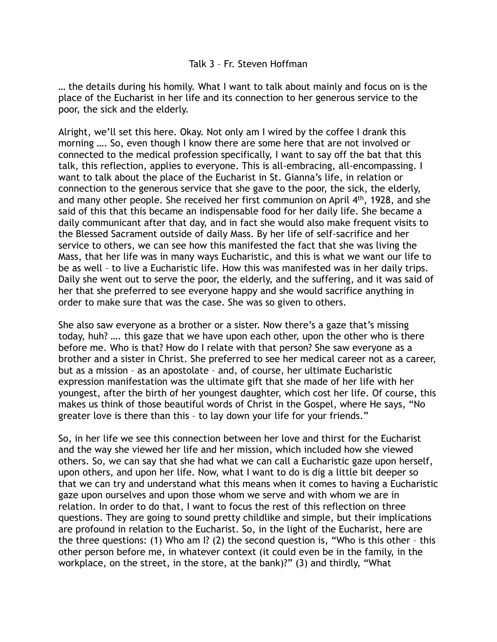… the details during his homily. What I want to talk about mainly and focus on is the place of the Eucharist in her life and its connection to her generous service to the poor, the sick and the elderly.

Alright, we'll set this here. Okay. Not only am I wired by the coffee I drank this morning …. So, even though I know there are some here that are not involved or connected to the medical profession specifically, I want to say off the bat that this talk, this reflection, applies to everyone. This is all-embracing, all-encompassing. I want to talk about the place of the Eucharist in St. Gianna's life, in relation or connection to the generous service that she gave to the poor, the sick, the elderly, and many other people. She received her first communion on April 4th, 1928, and she said of this that this became an indispensable food for her daily life. She became a daily communicant after that day, and in fact she would also make frequent visits to the Blessed Sacrament outside of daily Mass. By her life of self-sacrifice and her service to others, we can see how this manifested the fact that she was living the Mass, that her life was in many ways Eucharistic, and this is what we want our life to be as well – to live a Eucharistic life. How this was manifested was in her daily trips. Daily she went out to serve the poor, the elderly, and the suffering, and it was said of her that she preferred to see everyone happy and she would sacrifice anything in order to make sure that was the case. She was so given to others.

She also saw everyone as a brother or a sister. Now there's a gaze that's missing today, huh? …. this gaze that we have upon each other, upon the other who is there before me. Who is that? How do I relate with that person? She saw everyone as a brother and a sister in Christ. She preferred to see her medical career not as a career, but as a mission – as an apostolate – and, of course, her ultimate Eucharistic expression manifestation was the ultimate gift that she made of her life with her youngest, after the birth of her youngest daughter, which cost her life. Of course, this makes us think of those beautiful words of Christ in the Gospel, where He says, "No greater love is there than this – to lay down your life for your friends."

So, in her life we see this connection between her love and thirst for the Eucharist and the way she viewed her life and her mission, which included how she viewed others. So, we can say that she had what we can call a Eucharistic gaze upon herself, upon others, and upon her life. Now, what I want to do is dig a little bit deeper so that we can try and understand what this means when it comes to having a Eucharistic gaze upon ourselves and upon those whom we serve and with whom we are in relation. In order to do that, I want to focus the rest of this reflection on three questions. They are going to sound pretty childlike and simple, but their implications are profound in relation to the Eucharist. So, in the light of the Eucharist, here are the three questions: (1) Who am I? (2) the second question is, "Who is this other – this other person before me, in whatever context (it could even be in the family, in the workplace, on the street, in the store, at the bank)?" (3) and thirdly, "What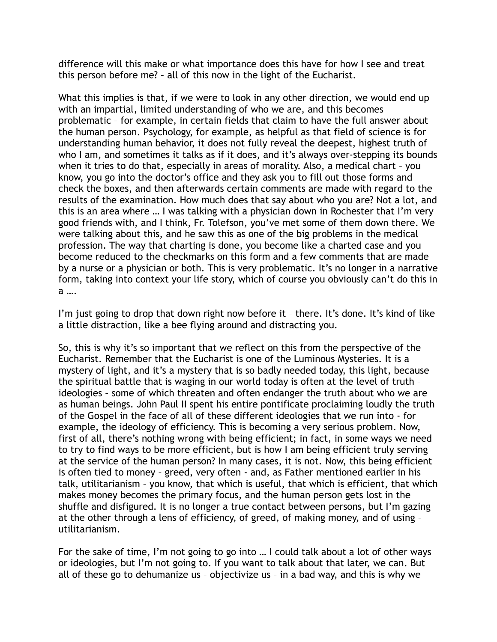difference will this make or what importance does this have for how I see and treat this person before me? – all of this now in the light of the Eucharist.

What this implies is that, if we were to look in any other direction, we would end up with an impartial, limited understanding of who we are, and this becomes problematic – for example, in certain fields that claim to have the full answer about the human person. Psychology, for example, as helpful as that field of science is for understanding human behavior, it does not fully reveal the deepest, highest truth of who I am, and sometimes it talks as if it does, and it's always over-stepping its bounds when it tries to do that, especially in areas of morality. Also, a medical chart – you know, you go into the doctor's office and they ask you to fill out those forms and check the boxes, and then afterwards certain comments are made with regard to the results of the examination. How much does that say about who you are? Not a lot, and this is an area where … I was talking with a physician down in Rochester that I'm very good friends with, and I think, Fr. Tolefson, you've met some of them down there. We were talking about this, and he saw this as one of the big problems in the medical profession. The way that charting is done, you become like a charted case and you become reduced to the checkmarks on this form and a few comments that are made by a nurse or a physician or both. This is very problematic. It's no longer in a narrative form, taking into context your life story, which of course you obviously can't do this in a ….

I'm just going to drop that down right now before it – there. It's done. It's kind of like a little distraction, like a bee flying around and distracting you.

So, this is why it's so important that we reflect on this from the perspective of the Eucharist. Remember that the Eucharist is one of the Luminous Mysteries. It is a mystery of light, and it's a mystery that is so badly needed today, this light, because the spiritual battle that is waging in our world today is often at the level of truth – ideologies – some of which threaten and often endanger the truth about who we are as human beings. John Paul II spent his entire pontificate proclaiming loudly the truth of the Gospel in the face of all of these different ideologies that we run into - for example, the ideology of efficiency. This is becoming a very serious problem. Now, first of all, there's nothing wrong with being efficient; in fact, in some ways we need to try to find ways to be more efficient, but is how I am being efficient truly serving at the service of the human person? In many cases, it is not. Now, this being efficient is often tied to money – greed, very often - and, as Father mentioned earlier in his talk, utilitarianism – you know, that which is useful, that which is efficient, that which makes money becomes the primary focus, and the human person gets lost in the shuffle and disfigured. It is no longer a true contact between persons, but I'm gazing at the other through a lens of efficiency, of greed, of making money, and of using – utilitarianism.

For the sake of time, I'm not going to go into … I could talk about a lot of other ways or ideologies, but I'm not going to. If you want to talk about that later, we can. But all of these go to dehumanize us – objectivize us – in a bad way, and this is why we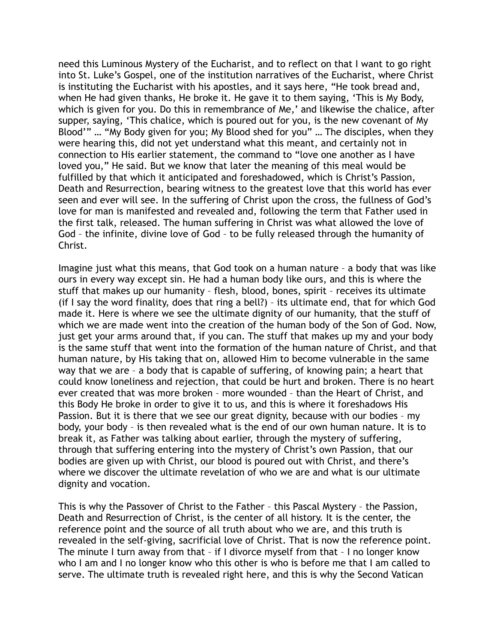need this Luminous Mystery of the Eucharist, and to reflect on that I want to go right into St. Luke's Gospel, one of the institution narratives of the Eucharist, where Christ is instituting the Eucharist with his apostles, and it says here, "He took bread and, when He had given thanks, He broke it. He gave it to them saying, 'This is My Body, which is given for you. Do this in remembrance of Me,' and likewise the chalice, after supper, saying, 'This chalice, which is poured out for you, is the new covenant of My Blood'" … "My Body given for you; My Blood shed for you" … The disciples, when they were hearing this, did not yet understand what this meant, and certainly not in connection to His earlier statement, the command to "love one another as I have loved you," He said. But we know that later the meaning of this meal would be fulfilled by that which it anticipated and foreshadowed, which is Christ's Passion, Death and Resurrection, bearing witness to the greatest love that this world has ever seen and ever will see. In the suffering of Christ upon the cross, the fullness of God's love for man is manifested and revealed and, following the term that Father used in the first talk, released. The human suffering in Christ was what allowed the love of God – the infinite, divine love of God – to be fully released through the humanity of Christ.

Imagine just what this means, that God took on a human nature – a body that was like ours in every way except sin. He had a human body like ours, and this is where the stuff that makes up our humanity – flesh, blood, bones, spirit – receives its ultimate (if I say the word finality, does that ring a bell?) – its ultimate end, that for which God made it. Here is where we see the ultimate dignity of our humanity, that the stuff of which we are made went into the creation of the human body of the Son of God. Now, just get your arms around that, if you can. The stuff that makes up my and your body is the same stuff that went into the formation of the human nature of Christ, and that human nature, by His taking that on, allowed Him to become vulnerable in the same way that we are – a body that is capable of suffering, of knowing pain; a heart that could know loneliness and rejection, that could be hurt and broken. There is no heart ever created that was more broken – more wounded – than the Heart of Christ, and this Body He broke in order to give it to us, and this is where it foreshadows His Passion. But it is there that we see our great dignity, because with our bodies – my body, your body – is then revealed what is the end of our own human nature. It is to break it, as Father was talking about earlier, through the mystery of suffering, through that suffering entering into the mystery of Christ's own Passion, that our bodies are given up with Christ, our blood is poured out with Christ, and there's where we discover the ultimate revelation of who we are and what is our ultimate dignity and vocation.

This is why the Passover of Christ to the Father – this Pascal Mystery – the Passion, Death and Resurrection of Christ, is the center of all history. It is the center, the reference point and the source of all truth about who we are, and this truth is revealed in the self-giving, sacrificial love of Christ. That is now the reference point. The minute I turn away from that – if I divorce myself from that – I no longer know who I am and I no longer know who this other is who is before me that I am called to serve. The ultimate truth is revealed right here, and this is why the Second Vatican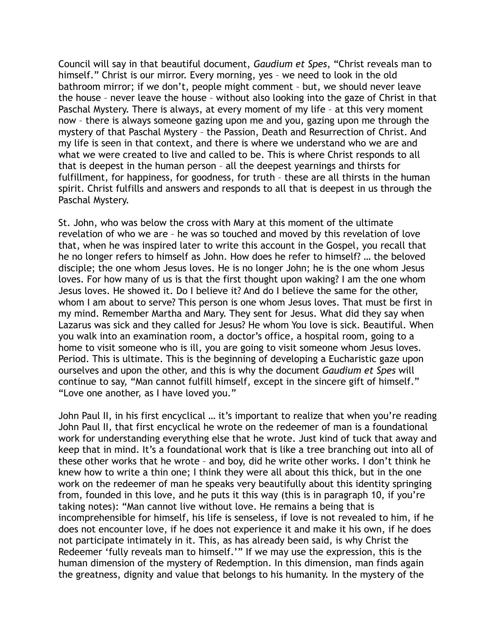Council will say in that beautiful document, *Gaudium et Spes*, "Christ reveals man to himself." Christ is our mirror. Every morning, yes – we need to look in the old bathroom mirror; if we don't, people might comment – but, we should never leave the house – never leave the house – without also looking into the gaze of Christ in that Paschal Mystery. There is always, at every moment of my life – at this very moment now – there is always someone gazing upon me and you, gazing upon me through the mystery of that Paschal Mystery – the Passion, Death and Resurrection of Christ. And my life is seen in that context, and there is where we understand who we are and what we were created to live and called to be. This is where Christ responds to all that is deepest in the human person – all the deepest yearnings and thirsts for fulfillment, for happiness, for goodness, for truth – these are all thirsts in the human spirit. Christ fulfills and answers and responds to all that is deepest in us through the Paschal Mystery.

St. John, who was below the cross with Mary at this moment of the ultimate revelation of who we are – he was so touched and moved by this revelation of love that, when he was inspired later to write this account in the Gospel, you recall that he no longer refers to himself as John. How does he refer to himself? … the beloved disciple; the one whom Jesus loves. He is no longer John; he is the one whom Jesus loves. For how many of us is that the first thought upon waking? I am the one whom Jesus loves. He showed it. Do I believe it? And do I believe the same for the other, whom I am about to serve? This person is one whom Jesus loves. That must be first in my mind. Remember Martha and Mary. They sent for Jesus. What did they say when Lazarus was sick and they called for Jesus? He whom You love is sick. Beautiful. When you walk into an examination room, a doctor's office, a hospital room, going to a home to visit someone who is ill, you are going to visit someone whom Jesus loves. Period. This is ultimate. This is the beginning of developing a Eucharistic gaze upon ourselves and upon the other, and this is why the document *Gaudium et Spes* will continue to say, "Man cannot fulfill himself, except in the sincere gift of himself." "Love one another, as I have loved you."

John Paul II, in his first encyclical … it's important to realize that when you're reading John Paul II, that first encyclical he wrote on the redeemer of man is a foundational work for understanding everything else that he wrote. Just kind of tuck that away and keep that in mind. It's a foundational work that is like a tree branching out into all of these other works that he wrote – and boy, did he write other works. I don't think he knew how to write a thin one; I think they were all about this thick, but in the one work on the redeemer of man he speaks very beautifully about this identity springing from, founded in this love, and he puts it this way (this is in paragraph 10, if you're taking notes): "Man cannot live without love. He remains a being that is incomprehensible for himself, his life is senseless, if love is not revealed to him, if he does not encounter love, if he does not experience it and make it his own, if he does not participate intimately in it. This, as has already been said, is why Christ the Redeemer 'fully reveals man to himself.'" If we may use the expression, this is the human dimension of the mystery of Redemption. In this dimension, man finds again the greatness, dignity and value that belongs to his humanity. In the mystery of the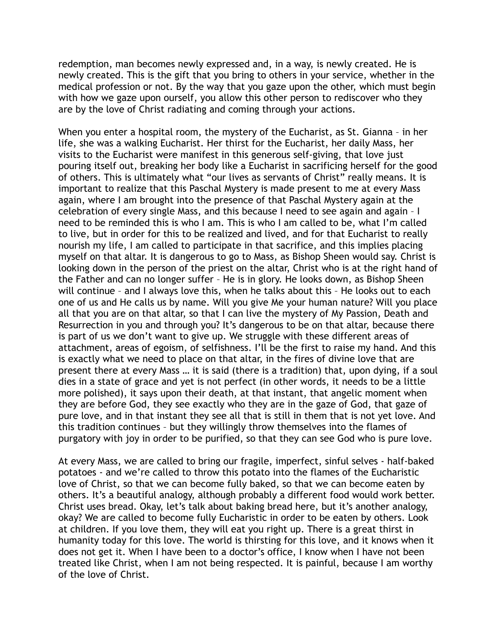redemption, man becomes newly expressed and, in a way, is newly created. He is newly created. This is the gift that you bring to others in your service, whether in the medical profession or not. By the way that you gaze upon the other, which must begin with how we gaze upon ourself, you allow this other person to rediscover who they are by the love of Christ radiating and coming through your actions.

When you enter a hospital room, the mystery of the Eucharist, as St. Gianna – in her life, she was a walking Eucharist. Her thirst for the Eucharist, her daily Mass, her visits to the Eucharist were manifest in this generous self-giving, that love just pouring itself out, breaking her body like a Eucharist in sacrificing herself for the good of others. This is ultimately what "our lives as servants of Christ" really means. It is important to realize that this Paschal Mystery is made present to me at every Mass again, where I am brought into the presence of that Paschal Mystery again at the celebration of every single Mass, and this because I need to see again and again – I need to be reminded this is who I am. This is who I am called to be, what I'm called to live, but in order for this to be realized and lived, and for that Eucharist to really nourish my life, I am called to participate in that sacrifice, and this implies placing myself on that altar. It is dangerous to go to Mass, as Bishop Sheen would say. Christ is looking down in the person of the priest on the altar, Christ who is at the right hand of the Father and can no longer suffer – He is in glory. He looks down, as Bishop Sheen will continue – and I always love this, when he talks about this – He looks out to each one of us and He calls us by name. Will you give Me your human nature? Will you place all that you are on that altar, so that I can live the mystery of My Passion, Death and Resurrection in you and through you? It's dangerous to be on that altar, because there is part of us we don't want to give up. We struggle with these different areas of attachment, areas of egoism, of selfishness. I'll be the first to raise my hand. And this is exactly what we need to place on that altar, in the fires of divine love that are present there at every Mass … it is said (there is a tradition) that, upon dying, if a soul dies in a state of grace and yet is not perfect (in other words, it needs to be a little more polished), it says upon their death, at that instant, that angelic moment when they are before God, they see exactly who they are in the gaze of God, that gaze of pure love, and in that instant they see all that is still in them that is not yet love. And this tradition continues – but they willingly throw themselves into the flames of purgatory with joy in order to be purified, so that they can see God who is pure love.

At every Mass, we are called to bring our fragile, imperfect, sinful selves - half-baked potatoes - and we're called to throw this potato into the flames of the Eucharistic love of Christ, so that we can become fully baked, so that we can become eaten by others. It's a beautiful analogy, although probably a different food would work better. Christ uses bread. Okay, let's talk about baking bread here, but it's another analogy, okay? We are called to become fully Eucharistic in order to be eaten by others. Look at children. If you love them, they will eat you right up. There is a great thirst in humanity today for this love. The world is thirsting for this love, and it knows when it does not get it. When I have been to a doctor's office, I know when I have not been treated like Christ, when I am not being respected. It is painful, because I am worthy of the love of Christ.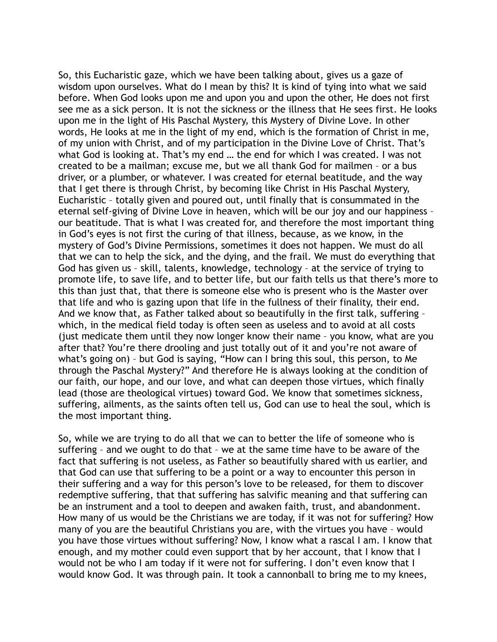So, this Eucharistic gaze, which we have been talking about, gives us a gaze of wisdom upon ourselves. What do I mean by this? It is kind of tying into what we said before. When God looks upon me and upon you and upon the other, He does not first see me as a sick person. It is not the sickness or the illness that He sees first. He looks upon me in the light of His Paschal Mystery, this Mystery of Divine Love. In other words, He looks at me in the light of my end, which is the formation of Christ in me, of my union with Christ, and of my participation in the Divine Love of Christ. That's what God is looking at. That's my end … the end for which I was created. I was not created to be a mailman; excuse me, but we all thank God for mailmen – or a bus driver, or a plumber, or whatever. I was created for eternal beatitude, and the way that I get there is through Christ, by becoming like Christ in His Paschal Mystery, Eucharistic – totally given and poured out, until finally that is consummated in the eternal self-giving of Divine Love in heaven, which will be our joy and our happiness – our beatitude. That is what I was created for, and therefore the most important thing in God's eyes is not first the curing of that illness, because, as we know, in the mystery of God's Divine Permissions, sometimes it does not happen. We must do all that we can to help the sick, and the dying, and the frail. We must do everything that God has given us – skill, talents, knowledge, technology – at the service of trying to promote life, to save life, and to better life, but our faith tells us that there's more to this than just that, that there is someone else who is present who is the Master over that life and who is gazing upon that life in the fullness of their finality, their end. And we know that, as Father talked about so beautifully in the first talk, suffering – which, in the medical field today is often seen as useless and to avoid at all costs (just medicate them until they now longer know their name – you know, what are you after that? You're there drooling and just totally out of it and you're not aware of what's going on) – but God is saying, "How can I bring this soul, this person, to Me through the Paschal Mystery?" And therefore He is always looking at the condition of our faith, our hope, and our love, and what can deepen those virtues, which finally lead (those are theological virtues) toward God. We know that sometimes sickness, suffering, ailments, as the saints often tell us, God can use to heal the soul, which is the most important thing.

So, while we are trying to do all that we can to better the life of someone who is suffering – and we ought to do that – we at the same time have to be aware of the fact that suffering is not useless, as Father so beautifully shared with us earlier, and that God can use that suffering to be a point or a way to encounter this person in their suffering and a way for this person's love to be released, for them to discover redemptive suffering, that that suffering has salvific meaning and that suffering can be an instrument and a tool to deepen and awaken faith, trust, and abandonment. How many of us would be the Christians we are today, if it was not for suffering? How many of you are the beautiful Christians you are, with the virtues you have – would you have those virtues without suffering? Now, I know what a rascal I am. I know that enough, and my mother could even support that by her account, that I know that I would not be who I am today if it were not for suffering. I don't even know that I would know God. It was through pain. It took a cannonball to bring me to my knees,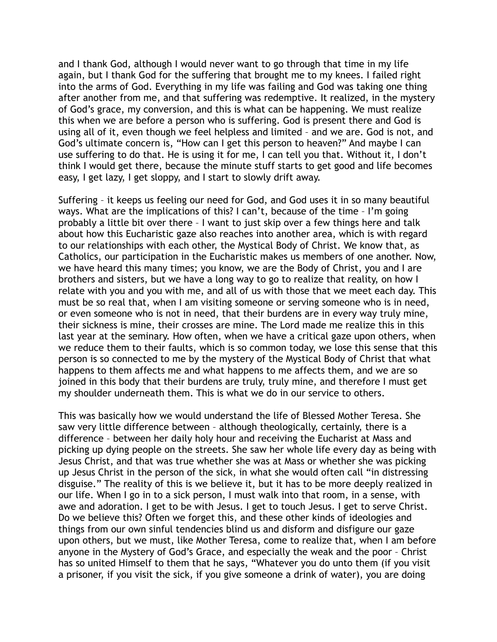and I thank God, although I would never want to go through that time in my life again, but I thank God for the suffering that brought me to my knees. I failed right into the arms of God. Everything in my life was failing and God was taking one thing after another from me, and that suffering was redemptive. It realized, in the mystery of God's grace, my conversion, and this is what can be happening. We must realize this when we are before a person who is suffering. God is present there and God is using all of it, even though we feel helpless and limited – and we are. God is not, and God's ultimate concern is, "How can I get this person to heaven?" And maybe I can use suffering to do that. He is using it for me, I can tell you that. Without it, I don't think I would get there, because the minute stuff starts to get good and life becomes easy, I get lazy, I get sloppy, and I start to slowly drift away.

Suffering – it keeps us feeling our need for God, and God uses it in so many beautiful ways. What are the implications of this? I can't, because of the time – I'm going probably a little bit over there – I want to just skip over a few things here and talk about how this Eucharistic gaze also reaches into another area, which is with regard to our relationships with each other, the Mystical Body of Christ. We know that, as Catholics, our participation in the Eucharistic makes us members of one another. Now, we have heard this many times; you know, we are the Body of Christ, you and I are brothers and sisters, but we have a long way to go to realize that reality, on how I relate with you and you with me, and all of us with those that we meet each day. This must be so real that, when I am visiting someone or serving someone who is in need, or even someone who is not in need, that their burdens are in every way truly mine, their sickness is mine, their crosses are mine. The Lord made me realize this in this last year at the seminary. How often, when we have a critical gaze upon others, when we reduce them to their faults, which is so common today, we lose this sense that this person is so connected to me by the mystery of the Mystical Body of Christ that what happens to them affects me and what happens to me affects them, and we are so joined in this body that their burdens are truly, truly mine, and therefore I must get my shoulder underneath them. This is what we do in our service to others.

This was basically how we would understand the life of Blessed Mother Teresa. She saw very little difference between – although theologically, certainly, there is a difference – between her daily holy hour and receiving the Eucharist at Mass and picking up dying people on the streets. She saw her whole life every day as being with Jesus Christ, and that was true whether she was at Mass or whether she was picking up Jesus Christ in the person of the sick, in what she would often call "in distressing disguise." The reality of this is we believe it, but it has to be more deeply realized in our life. When I go in to a sick person, I must walk into that room, in a sense, with awe and adoration. I get to be with Jesus. I get to touch Jesus. I get to serve Christ. Do we believe this? Often we forget this, and these other kinds of ideologies and things from our own sinful tendencies blind us and disform and disfigure our gaze upon others, but we must, like Mother Teresa, come to realize that, when I am before anyone in the Mystery of God's Grace, and especially the weak and the poor – Christ has so united Himself to them that he says, "Whatever you do unto them (if you visit a prisoner, if you visit the sick, if you give someone a drink of water), you are doing